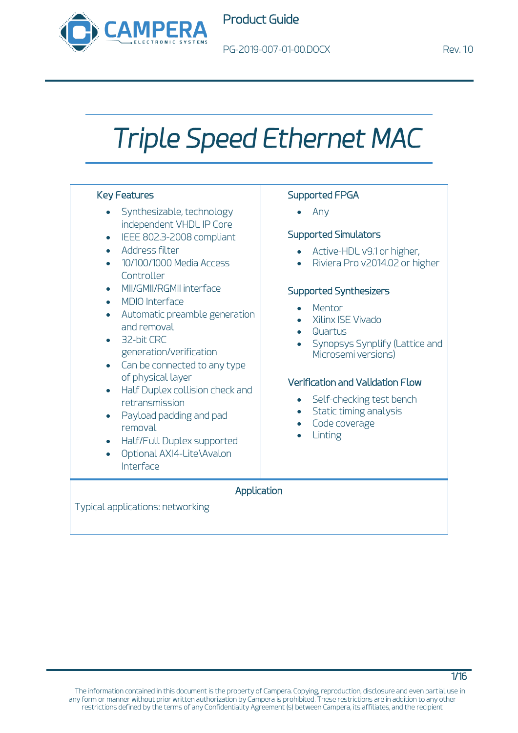

# *Triple Speed Ethernet MAC*

#### Key Features

- Synthesizable, technology independent VHDL IP Core
- IEEE 802.3-2008 compliant
- Address filter
- 10/100/1000 Media Access Controller
- MII/GMII/RGMII interface
- MDIO Interface
- Automatic preamble generation and removal
- 32-bit CRC generation/verification
- Can be connected to any type of physical layer
- Half Duplex collision check and retransmission
- Payload padding and pad removal
- Half/Full Duplex supported
- Optional AXI4-Lite\Avalon Interface

### Supported FPGA

• Any

#### Supported Simulators

- Active-HDL v9.1 or higher,
- Riviera Pro v2014.02 or higher

#### Supported Synthesizers

- **Mentor**
- Xilinx ISE Vivado
- Quartus
- Synopsys Synplify (Lattice and Microsemi versions)

#### Verification and Validation Flow

- Self-checking test bench
- Static timing analysis
- Code coverage
- **Linting**

#### Application

Typical applications: networking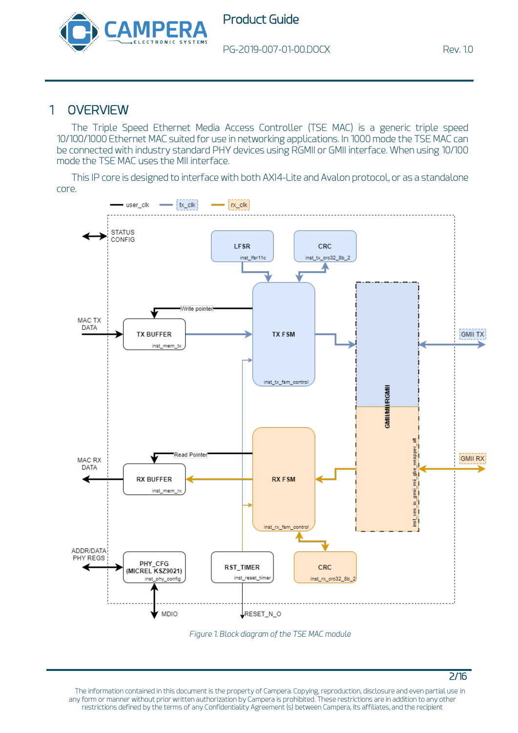

PG-2019-007-01-00.DOCX Rev. 1.0

2/16

## 1 OVERVIEW

The Triple Speed Ethernet Media Access Controller (TSE MAC) is a generic triple speed 10/100/1000 Ethernet MAC suited for use in networking applications. In 1000 mode the TSE MAC can be connected with industry standard PHY devices using RGMII or GMII interface. When using 10/100 mode the TSE MAC uses the MII interface.

This IP core is designed to interface with both AXI4-Lite and Avalon protocol, or as a standalone core.



<span id="page-1-0"></span>*Figure 1. Block diagram of the TSE MAC module*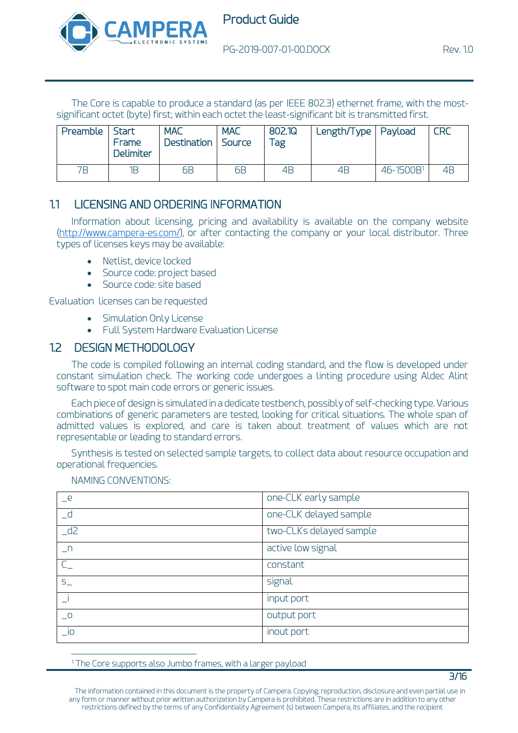

The Core is capable to produce a standard (as per IEEE 802.3) ethernet frame, with the mostsignificant octet (byte) first; within each octet the least-significant bit is transmitted first.

| Preamble | Start<br>Frame<br><b>Delimiter</b> | <b>MAC</b><br>Destination Source | <b>MAC</b>     | 802.1Q<br>$\mathsf{q}_{\mathsf{a}\mathsf{g}}$ | Length/Type   Payload |                       | <b>CRC</b> |
|----------|------------------------------------|----------------------------------|----------------|-----------------------------------------------|-----------------------|-----------------------|------------|
| 7Β       | 1Β                                 | 6 <sub>B</sub>                   | 6 <sub>B</sub> | 4B                                            | 4B                    | 46-1500B <sup>1</sup> | 4B         |

### 1.1 LICENSING AND ORDERING INFORMATION

Information about licensing, pricing and availability is available on the company website [\(http://www.campera-es.com/\)](http://www.campera-es.com/), or after contacting the company or your local distributor. Three types of licenses keys may be available:

- Netlist, device locked
- Source code: project based
- Source code: site based

Evaluation licenses can be requested

- [Simulation Only License](https://www.xilinx.com/support/documentation/sw_manuals/xilinx11/cgn_r_simulation_only_license.htm)
- [Full System Hardware Evaluation License](https://www.xilinx.com/support/documentation/sw_manuals/xilinx11/cgn_p_obtaining_full_system_hardware_evaluation_license.htm)

#### 1.2 DESIGN METHODOLOGY

The code is compiled following an internal coding standard, and the flow is developed under constant simulation check. The working code undergoes a linting procedure using Aldec Alint software to spot main code errors or generic issues.

Each piece of design is simulated in a dedicate testbench, possibly of self-checking type. Various combinations of generic parameters are tested, looking for critical situations. The whole span of admitted values is explored, and care is taken about treatment of values which are not representable or leading to standard errors.

Synthesis is tested on selected sample targets, to collect data about resource occupation and operational frequencies.

| $-e$                       | one-CLK early sample    |
|----------------------------|-------------------------|
| $\overline{\phantom{a}}$ d | one-CLK delayed sample  |
| $-d2$                      | two-CLKs delayed sample |
| $n_{-}$                    | active low signal       |
| $\subset$                  | constant                |
| $S_{-}$                    | signal                  |
|                            | input port              |
| $\overline{\phantom{0}}^0$ | output port             |
| $\_i$ o                    | inout port              |

NAMING CONVENTIONS:

<sup>1</sup> The Core supports also Jumbo frames, with a larger payload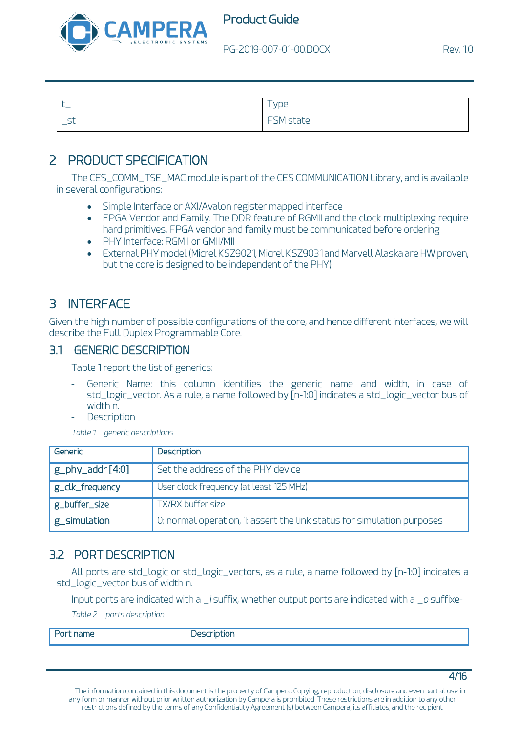

| $\sim$             |
|--------------------|
| ---<br>שטכ וי<br>- |

# 2 PRODUCT SPECIFICATION

The CES\_COMM\_TSE\_MAC module is part of the CES COMMUNICATION Library, and is available in several configurations:

- Simple Interface or AXI/Avalon register mapped interface
- FPGA Vendor and Family. The DDR feature of RGMII and the clock multiplexing require hard primitives, FPGA vendor and family must be communicated before ordering
- PHY Interface: RGMII or GMII/MII
- External PHY model (Micrel KSZ9021, Micrel KSZ9031 and Marvell Alaska are HW proven, but the core is designed to be independent of the PHY)

# 3 INTERFACE

Given the high number of possible configurations of the core, and hence different interfaces, we will describe the Full Duplex Programmable Core.

#### 3.1 GENERIC DESCRIPTION

[Table 1](#page-3-0) report the list of generics:

- Generic Name: this column identifies the generic name and width, in case of std\_logic\_vector. As a rule, a name followed by [n-1:0] indicates a std\_logic\_vector bus of width n.
- **Description**

*Table 1 – generic descriptions*

<span id="page-3-0"></span>

| Generic               | Description                                                            |
|-----------------------|------------------------------------------------------------------------|
| $g$ _phy_addr $[4:0]$ | Set the address of the PHY device                                      |
| g_clk_frequency       | User clock frequency (at least 125 MHz)                                |
| g_buffer_size         | TX/RX buffer size                                                      |
| g_simulation          | 0: normal operation, 1: assert the link status for simulation purposes |

## 3.2 PORT DESCRIPTION

All ports are std\_logic or std\_logic\_vectors, as a rule, a name followed by [n-1:0] indicates a std\_logic\_vector bus of width n.

Input ports are indicated with a *\_i* suffix, whether output ports are indicated with a *\_o* suffixe-*Table 2 – ports description*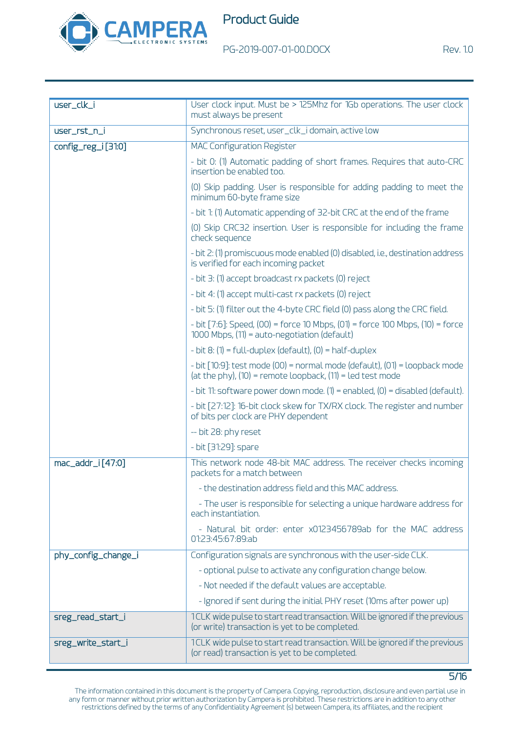

5/16

| user_clk_i          | User clock input. Must be > 125Mhz for 1Gb operations. The user clock<br>must always be present                                              |  |
|---------------------|----------------------------------------------------------------------------------------------------------------------------------------------|--|
|                     |                                                                                                                                              |  |
| user_rst_n_i        | Synchronous reset, user_clk_i domain, active low                                                                                             |  |
| config_reg_i [31:0] | <b>MAC Configuration Register</b>                                                                                                            |  |
|                     | - bit 0: (1) Automatic padding of short frames. Requires that auto-CRC<br>insertion be enabled too.                                          |  |
|                     | (0) Skip padding. User is responsible for adding padding to meet the<br>minimum 60-byte frame size                                           |  |
|                     | - bit 1: (1) Automatic appending of 32-bit CRC at the end of the frame                                                                       |  |
|                     | (0) Skip CRC32 insertion. User is responsible for including the frame<br>check sequence                                                      |  |
|                     | - bit 2: (1) promiscuous mode enabled (0) disabled, i.e., destination address<br>is verified for each incoming packet                        |  |
|                     | - bit 3: (1) accept broadcast rx packets (0) reject                                                                                          |  |
|                     | - bit 4: (1) accept multi-cast rx packets (0) reject                                                                                         |  |
|                     | - bit 5: (1) filter out the 4-byte CRC field (0) pass along the CRC field.                                                                   |  |
|                     | - bit [7:6]: Speed, (00) = force 10 Mbps, (01) = force 100 Mbps, (10) = force<br>$1000$ Mbps, $(11)$ = auto-negotiation (default)            |  |
|                     | $-$ bit 8: (1) = full-duplex (default), (0) = half-duplex                                                                                    |  |
|                     | - bit [10:9]: test mode (00) = normal mode (default), (01) = loopback mode<br>(at the phy), $(10)$ = remote loopback, $(11)$ = led test mode |  |
|                     | - bit 11: software power down mode. $(1)$ = enabled, $(0)$ = disabled (default).                                                             |  |
|                     | - bit [27:12]: 16-bit clock skew for TX/RX clock. The register and number<br>of bits per clock are PHY dependent                             |  |
|                     | -- bit 28: phy reset                                                                                                                         |  |
|                     | - bit [31:29]: spare                                                                                                                         |  |
| mac_addr_i[47:0]    | This network node 48-bit MAC address. The receiver checks incoming<br>packets for a match between                                            |  |
|                     | - the destination address field and this MAC address.                                                                                        |  |
|                     | - The user is responsible for selecting a unique hardware address for<br>each instantiation.                                                 |  |
|                     | - Natural bit order: enter x0123456789ab for the MAC address<br>01:23:45:67:89:ab                                                            |  |
| phy_config_change_i | Configuration signals are synchronous with the user-side CLK.                                                                                |  |
|                     | - optional pulse to activate any configuration change below.                                                                                 |  |
|                     | - Not needed if the default values are acceptable.                                                                                           |  |
|                     | - Ignored if sent during the initial PHY reset (10ms after power up)                                                                         |  |
| sreg_read_start_i   | 1CLK wide pulse to start read transaction. Will be ignored if the previous<br>(or write) transaction is yet to be completed.                 |  |
| sreg_write_start_i  | 1CLK wide pulse to start read transaction. Will be ignored if the previous<br>(or read) transaction is yet to be completed.                  |  |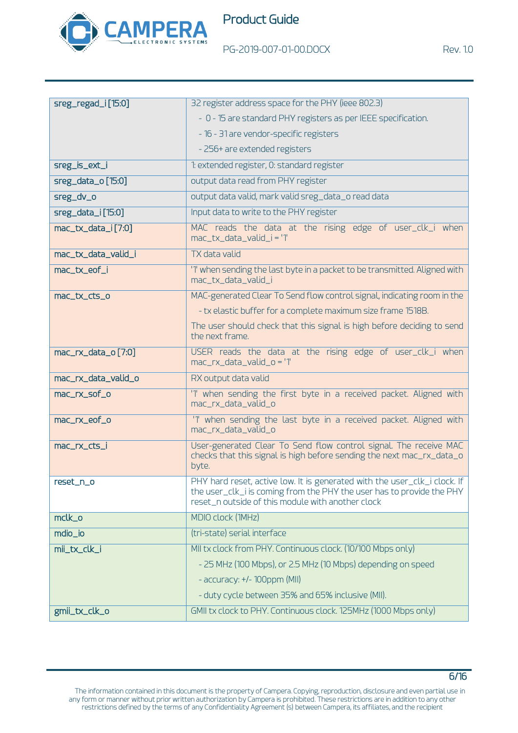

PG-2019-007-01-00.DOCX Rev. 1.0

| sreg_regad_i[15:0]    | 32 register address space for the PHY (ieee 802.3)                                                                                                                                                      |  |  |
|-----------------------|---------------------------------------------------------------------------------------------------------------------------------------------------------------------------------------------------------|--|--|
|                       | - 0 - 15 are standard PHY registers as per IEEE specification.                                                                                                                                          |  |  |
|                       | - 16 - 31 are vendor-specific registers                                                                                                                                                                 |  |  |
|                       | - 256+ are extended registers                                                                                                                                                                           |  |  |
| sreg_is_ext_i         | 1: extended register, 0: standard register                                                                                                                                                              |  |  |
| sreg_data_o [15:0]    | output data read from PHY register                                                                                                                                                                      |  |  |
| sreg_dv_o             | output data valid, mark valid sreg_data_o read data                                                                                                                                                     |  |  |
| $sreg\_data_i[15:0]$  | Input data to write to the PHY register                                                                                                                                                                 |  |  |
| mac_tx_data_i[7:0]    | MAC reads the data at the rising edge of user_clk_i when<br>mac_tx_data_valid_i = '1'                                                                                                                   |  |  |
| mac_tx_data_valid_i   | TX data valid                                                                                                                                                                                           |  |  |
| mac_tx_eof_i          | '1' when sending the last byte in a packet to be transmitted. Aligned with<br>mac_tx_data_valid_i                                                                                                       |  |  |
| mac_tx_cts_o          | MAC-generated Clear To Send flow control signal, indicating room in the                                                                                                                                 |  |  |
|                       | - tx elastic buffer for a complete maximum size frame 1518B.                                                                                                                                            |  |  |
|                       | The user should check that this signal is high before deciding to send<br>the next frame.                                                                                                               |  |  |
| $mac_r x_data_o[7:0]$ | USER reads the data at the rising edge of user_clk_i when<br>mac_rx_data_valid_o = '1'                                                                                                                  |  |  |
| mac_rx_data_valid_o   | RX output data valid                                                                                                                                                                                    |  |  |
| mac_rx_sof_o          | '1' when sending the first byte in a received packet. Aligned with<br>mac_rx_data_valid_o                                                                                                               |  |  |
| mac_rx_eof_o          | '1' when sending the last byte in a received packet. Aligned with<br>mac_rx_data_valid_o                                                                                                                |  |  |
| mac_rx_cts_i          | User-generated Clear To Send flow control signal. The receive MAC<br>checks that this signal is high before sending the next mac_rx_data_o<br>byte.                                                     |  |  |
| reset_n_o             | PHY hard reset, active low. It is generated with the user_clk_i clock. If<br>the user_clk_i is coming from the PHY the user has to provide the PHY<br>reset_n outside of this module with another clock |  |  |
| mclk_o                | MDIO clock (1MHz)                                                                                                                                                                                       |  |  |
| mdio_io               | (tri-state) serial interface                                                                                                                                                                            |  |  |
| mii_tx_clk_i          | MII tx clock from PHY. Continuous clock. (10/100 Mbps only)                                                                                                                                             |  |  |
|                       | - 25 MHz (100 Mbps), or 2.5 MHz (10 Mbps) depending on speed                                                                                                                                            |  |  |
|                       | - accuracy: +/- 100ppm (MII)                                                                                                                                                                            |  |  |
|                       | - duty cycle between 35% and 65% inclusive (MII).                                                                                                                                                       |  |  |
| gmii_tx_clk_o         | GMII tx clock to PHY. Continuous clock. 125MHz (1000 Mbps only)                                                                                                                                         |  |  |

The information contained in this document is the property of Campera. Copying, reproduction, disclosure and even partial use in any form or manner without prior written authorization by Campera is prohibited. These restrictions are in addition to any other restrictions defined by the terms of any Confidentiality Agreement (s) between Campera, its affiliates, and the recipient

6/16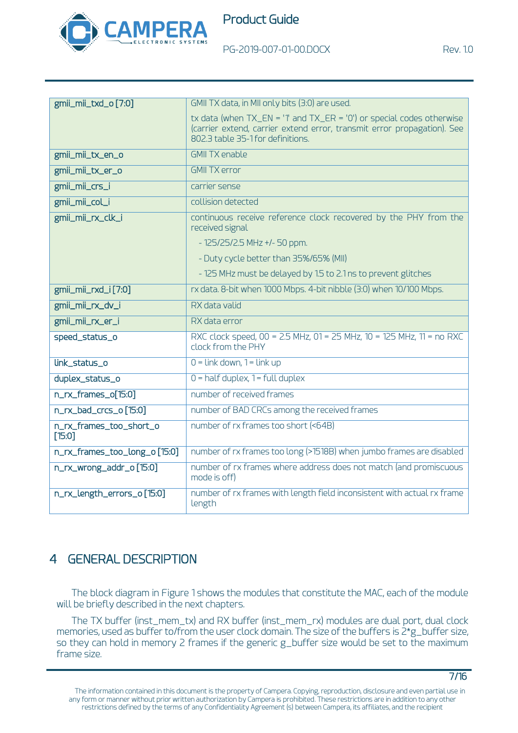

PG-2019-007-01-00.DOCX Rev. 1.0

| gmii_mii_txd_o[7:0]                 | GMII TX data, in MII only bits (3:0) are used.                                                                                                                                              |
|-------------------------------------|---------------------------------------------------------------------------------------------------------------------------------------------------------------------------------------------|
|                                     | tx data (when $TX_$ EN = '1' and $TX_$ ER = '0') or special codes otherwise<br>(carrier extend, carrier extend error, transmit error propagation). See<br>802.3 table 35-1 for definitions. |
| gmii_mii_tx_en_o                    | <b>GMII TX enable</b>                                                                                                                                                                       |
| gmii_mii_tx_er_o                    | <b>GMII TX error</b>                                                                                                                                                                        |
| gmii_mii_crs_i                      | carrier sense                                                                                                                                                                               |
| gmii_mii_col_i                      | collision detected                                                                                                                                                                          |
| gmii_mii_rx_clk_i                   | continuous receive reference clock recovered by the PHY from the<br>received signal                                                                                                         |
|                                     | $-125/25/2.5$ MHz +/-50 ppm.                                                                                                                                                                |
|                                     | - Duty cycle better than 35%/65% (MII)                                                                                                                                                      |
|                                     | - 125 MHz must be delayed by 1.5 to 2.1 ns to prevent glitches                                                                                                                              |
| gmii_mii_rxd_i[7:0]                 | rx data. 8-bit when 1000 Mbps. 4-bit nibble (3:0) when 10/100 Mbps.                                                                                                                         |
| gmii_mii_rx_dv_i                    | RX data valid                                                                                                                                                                               |
| gmii_mii_rx_er_i                    | RX data error                                                                                                                                                                               |
| speed_status_o                      | RXC clock speed, 00 = 2.5 MHz, 01 = 25 MHz, 10 = 125 MHz, 11 = no RXC<br>clock from the PHY                                                                                                 |
| link_status_o                       | $0 =$ Link down, $1 =$ Link up                                                                                                                                                              |
| duplex_status_o                     | $0 =$ half duplex, $1 =$ full duplex                                                                                                                                                        |
| n_rx_frames_o[15:0]                 | number of received frames                                                                                                                                                                   |
| n_rx_bad_crcs_o [15:0]              | number of BAD CRCs among the received frames                                                                                                                                                |
| n_rx_frames_too_short_o<br>$[15:0]$ | number of rx frames too short (<64B)                                                                                                                                                        |
| n_rx_frames_too_long_o [15:0]       | number of rx frames too long (>1518B) when jumbo frames are disabled                                                                                                                        |
| n_rx_wrong_addr_o [15:0]            | number of rx frames where address does not match (and promiscuous<br>mode is off)                                                                                                           |
| n_rx_length_errors_o [15:0]         | number of rx frames with length field inconsistent with actual rx frame<br>length                                                                                                           |

# 4 GENERAL DESCRIPTION

The block diagram in [Figure 1](#page-1-0) shows the modules that constitute the MAC, each of the module will be briefly described in the next chapters.

The TX buffer (inst\_mem\_tx) and RX buffer (inst\_mem\_rx) modules are dual port, dual clock memories, used as buffer to/from the user clock domain. The size of the buffers is 2\*g\_buffer size, so they can hold in memory 2 frames if the generic g\_buffer size would be set to the maximum frame size.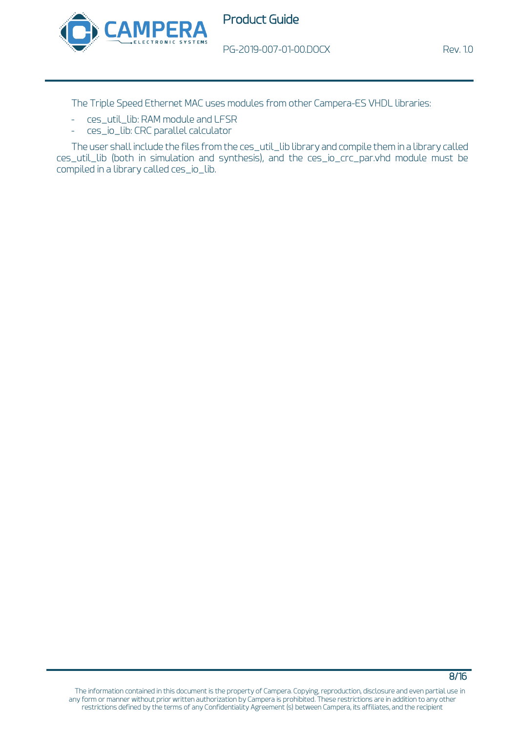

PG-2019-007-01-00.DOCX Rev. 1.0

The Triple Speed Ethernet MAC uses modules from other Campera-ES VHDL libraries:

- ces\_util\_lib: RAM module and LFSR
- ces\_io\_lib: CRC parallel calculator

The user shall include the files from the ces\_util\_lib library and compile them in a library called ces\_util\_lib (both in simulation and synthesis), and the ces\_io\_crc\_par.vhd module must be compiled in a library called ces\_io\_lib.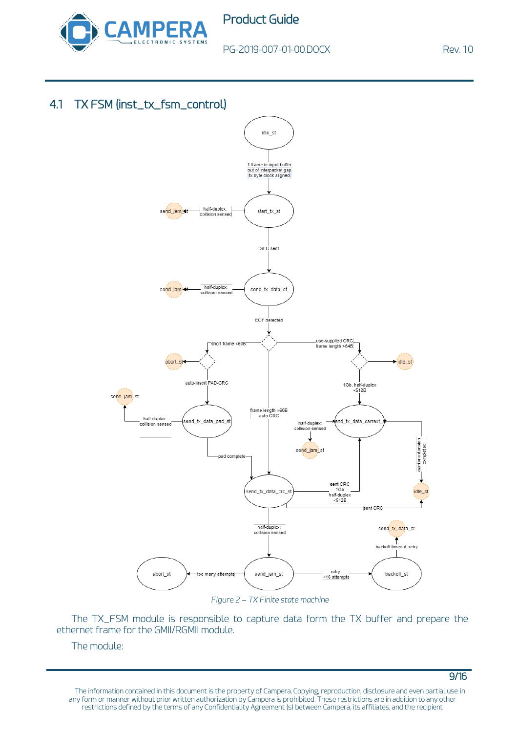

9/16

## 4.1 TX FSM (inst\_tx\_fsm\_control)



*Figure 2 – TX Finite state machine*

The TX\_FSM module is responsible to capture data form the TX buffer and prepare the ethernet frame for the GMII/RGMII module.

The module: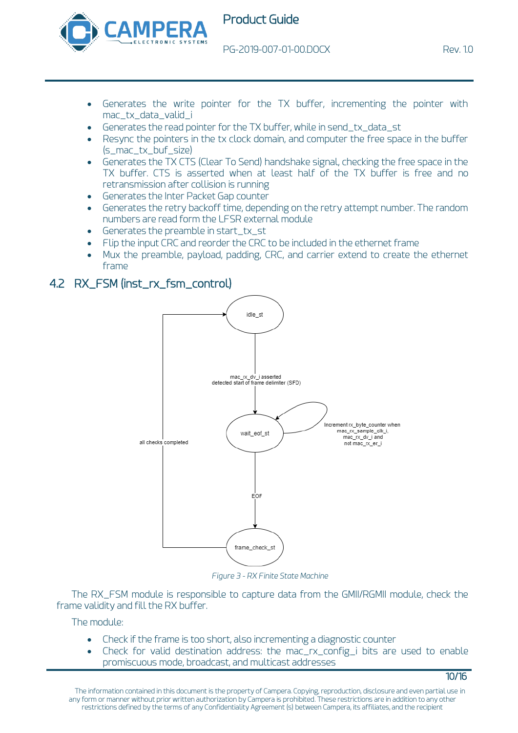

PG-2019-007-01-00.DOCX Rev. 1.0

10/16

- Generates the write pointer for the TX buffer, incrementing the pointer with mac\_tx\_data\_valid\_i
- Generates the read pointer for the TX buffer, while in send\_tx\_data\_st
- Resync the pointers in the tx clock domain, and computer the free space in the buffer (s\_mac\_tx\_buf\_size)
- Generates the TX CTS (Clear To Send) handshake signal, checking the free space in the TX buffer. CTS is asserted when at least half of the TX buffer is free and no retransmission after collision is running
- Generates the Inter Packet Gap counter
- Generates the retry backoff time, depending on the retry attempt number. The random numbers are read form the LFSR external module
- Generates the preamble in start\_tx\_st
- Flip the input CRC and reorder the CRC to be included in the ethernet frame
- Mux the preamble, payload, padding, CRC, and carrier extend to create the ethernet frame

## 4.2 RX FSM (inst\_rx\_fsm\_control)



*Figure 3 - RX Finite State Machine*

The RX\_FSM module is responsible to capture data from the GMII/RGMII module, check the frame validity and fill the RX buffer.

The module:

- Check if the frame is too short, also incrementing a diagnostic counter
- Check for valid destination address: the mac\_rx\_config\_i bits are used to enable promiscuous mode, broadcast, and multicast addresses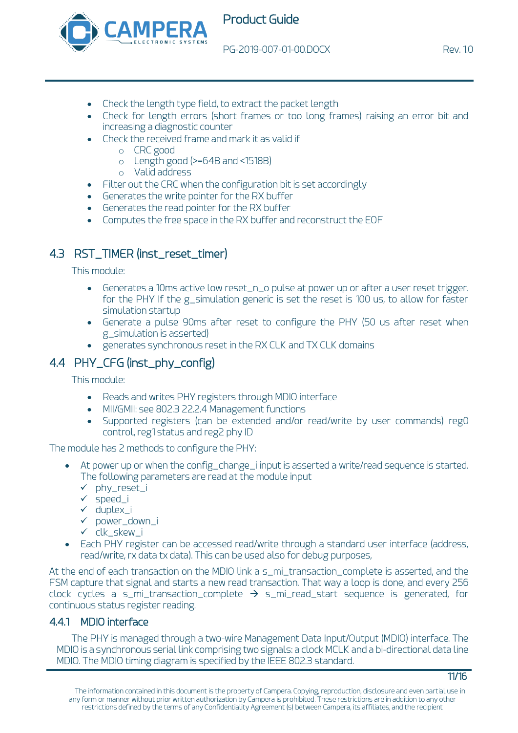

- Check the length type field, to extract the packet length
- Check for length errors (short frames or too long frames) raising an error bit and increasing a diagnostic counter
- Check the received frame and mark it as valid if
	- o CRC good
	- o Length good (>=64B and <1518B)
	- o Valid address
- Filter out the CRC when the configuration bit is set accordingly
- Generates the write pointer for the RX buffer
- Generates the read pointer for the RX buffer
- Computes the free space in the RX buffer and reconstruct the EOF

## 4.3 RST\_TIMER (inst\_reset\_timer)

This module:

- Generates a 10ms active low reset\_n\_o pulse at power up or after a user reset trigger. for the PHY If the g\_simulation generic is set the reset is 100 us, to allow for faster simulation startup
- Generate a pulse 90ms after reset to configure the PHY (50 us after reset when g\_simulation is asserted)
- generates synchronous reset in the RX CLK and TX CLK domains

## 4.4 PHY\_CFG (inst\_phy\_config)

This module:

- Reads and writes PHY registers through MDIO interface
- MII/GMII: see 802.3 22.2.4 Management functions
- Supported registers (can be extended and/or read/write by user commands) reg0 control, reg1 status and reg2 phy ID

The module has 2 methods to configure the PHY:

- At power up or when the config\_change\_i input is asserted a write/read sequence is started. The following parameters are read at the module input
	- ✓ phy\_reset\_i
	- ✓ speed\_i
	- ✓ duplex\_i
	- ✓ power\_down\_i
	- ✓ clk\_skew\_i
- Each PHY register can be accessed read/write through a standard user interface (address, read/write, rx data tx data). This can be used also for debug purposes,

At the end of each transaction on the MDIO link a s\_mi\_transaction\_complete is asserted, and the FSM capture that signal and starts a new read transaction. That way a loop is done, and every 256 clock cycles a s\_mi\_transaction\_complete  $\rightarrow$  s\_mi\_read\_start sequence is generated, for continuous status register reading.

### 4.4.1 MDIO interface

The PHY is managed through a two-wire Management Data Input/Output (MDIO) interface. The MDIO is a synchronous serial link comprising two signals: a clock MCLK and a bi-directional data line MDIO. The MDIO timing diagram is specified by the IEEE 802.3 standard.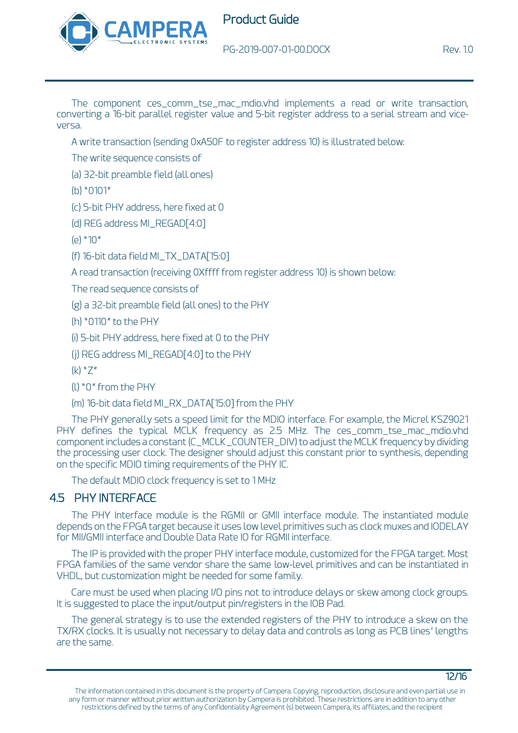

The component ces\_comm\_tse\_mac\_mdio.vhd implements a read or write transaction, converting a 16-bit parallel register value and 5-bit register address to a serial stream and viceversa.

A write transaction (sending 0xA50F to register address 10) is illustrated below:

The write sequence consists of

(a) 32-bit preamble field (all ones)

(b) "0101"

(c) 5-bit PHY address, here fixed at 0

(d) REG address MI\_REGAD[4:0]

(e) "10"

(f) 16-bit data field MI\_TX\_DATA[15:0]

A read transaction (receiving 0Xffff from register address 10) is shown below:

The read sequence consists of

(g) a 32-bit preamble field (all ones) to the PHY

(h) "0110" to the PHY

(i) 5-bit PHY address, here fixed at 0 to the PHY

(j) REG address MI\_REGAD[4:0] to the PHY

 $(k)$  "7"

(l) "0" from the PHY

(m) 16-bit data field MI\_RX\_DATA[15:0] from the PHY

The PHY generally sets a speed limit for the MDIO interface. For example, the Micrel KSZ9021 PHY defines the typical MCLK frequency as 2.5 MHz. The ces\_comm\_tse\_mac\_mdio.vhd component includes a constant (C\_MCLK\_COUNTER\_DIV) to adjust the MCLK frequency by dividing the processing user clock. The designer should adjust this constant prior to synthesis, depending on the specific MDIO timing requirements of the PHY IC.

The default MDIO clock frequency is set to 1 MHz

## 4.5 PHY INTERFACE

The PHY Interface module is the RGMII or GMII interface module. The instantiated module depends on the FPGA target because it uses low level primitives such as clock muxes and IODELAY for MII/GMII interface and Double Data Rate IO for RGMII interface.

The IP is provided with the proper PHY interface module, customized for the FPGA target. Most FPGA families of the same vendor share the same low-level primitives and can be instantiated in VHDL, but customization might be needed for some family.

Care must be used when placing I/O pins not to introduce delays or skew among clock groups. It is suggested to place the input/output pin/registers in the IOB Pad.

The general strategy is to use the extended registers of the PHY to introduce a skew on the TX/RX clocks. It is usually not necessary to delay data and controls as long as PCB lines' lengths are the same.

12/16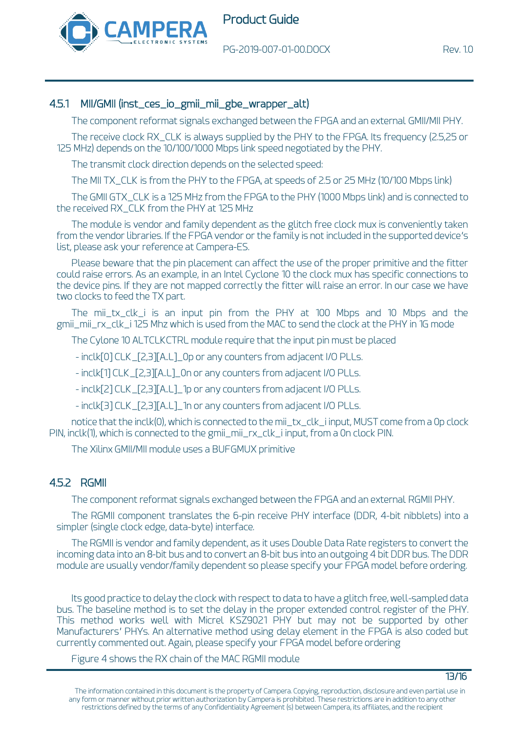

#### 4.5.1 MII/GMII (inst\_ces\_io\_gmii\_mii\_gbe\_wrapper\_alt)

The component reformat signals exchanged between the FPGA and an external GMII/MII PHY.

The receive clock RX\_CLK is always supplied by the PHY to the FPGA. Its frequency (2.5,25 or 125 MHz) depends on the 10/100/1000 Mbps link speed negotiated by the PHY.

The transmit clock direction depends on the selected speed:

The MII TX\_CLK is from the PHY to the FPGA, at speeds of 2.5 or 25 MHz (10/100 Mbps link)

The GMII GTX\_CLK is a 125 MHz from the FPGA to the PHY (1000 Mbps link) and is connected to the received RX\_CLK from the PHY at 125 MHz

The module is vendor and family dependent as the glitch free clock mux is conveniently taken from the vendor libraries. If the FPGA vendor or the family is not included in the supported device's list, please ask your reference at Campera-ES.

Please beware that the pin placement can affect the use of the proper primitive and the fitter could raise errors. As an example, in an Intel Cyclone 10 the clock mux has specific connections to the device pins. If they are not mapped correctly the fitter will raise an error. In our case we have two clocks to feed the TX part.

The mii\_tx\_clk\_i is an input pin from the PHY at 100 Mbps and 10 Mbps and the gmii\_mii\_rx\_clk\_i 125 Mhz which is used from the MAC to send the clock at the PHY in 1G mode

The Cylone 10 ALTCLKCTRL module require that the input pin must be placed

- inclk[0] CLK\_[2,3][A..L]\_0p or any counters from adjacent I/O PLLs.

- inclk[1] CLK\_[2,3][A..L]\_0n or any counters from adjacent I/O PLLs.

- inclk[2] CLK\_[2,3][A..L]\_1p or any counters from adjacent I/O PLLs.

- inclk[3] CLK\_[2,3][A..L]\_1n or any counters from adjacent I/O PLLs.

notice that the inclk(0), which is connected to the mii\_tx\_clk\_i input, MUST come from a 0p clock PIN, inclk(1), which is connected to the gmii\_mii\_rx\_clk\_i input, from a 0n clock PIN.

The Xilinx GMII/MII module uses a BUFGMUX primitive

#### 4.5.2 RGMII

The component reformat signals exchanged between the FPGA and an external RGMII PHY.

The RGMII component translates the 6-pin receive PHY interface (DDR, 4-bit nibblets) into a simpler (single clock edge, data-byte) interface.

The RGMII is vendor and family dependent, as it uses Double Data Rate registers to convert the incoming data into an 8-bit bus and to convert an 8-bit bus into an outgoing 4 bit DDR bus. The DDR module are usually vendor/family dependent so please specify your FPGA model before ordering.

Its good practice to delay the clock with respect to data to have a glitch free, well-sampled data bus. The baseline method is to set the delay in the proper extended control register of the PHY. This method works well with Micrel KS29021 PHY but may not be supported by other Manufacturers' PHYs. An alternative method using delay element in the FPGA is also coded but currently commented out. Again, please specify your FPGA model before ordering

[Figure 4](#page-13-0) shows the RX chain of the MAC RGMII module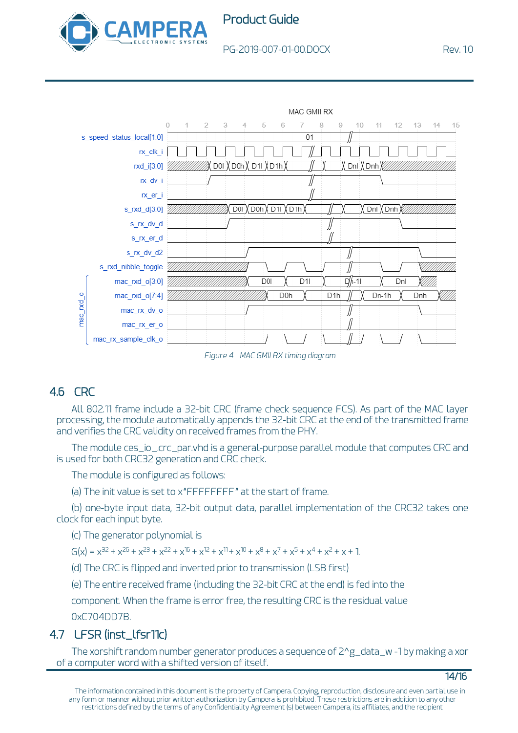





*Figure 4 - MAC GMII RX timing diagram*

# <span id="page-13-0"></span>4.6 CRC

All 802.11 frame include a 32-bit CRC (frame check sequence FCS). As part of the MAC layer processing, the module automatically appends the 32-bit CRC at the end of the transmitted frame and verifies the CRC validity on received frames from the PHY.

The module ces\_io\_.crc\_par.vhd is a general-purpose parallel module that computes CRC and is used for both CRC32 generation and CRC check.

The module is configured as follows:

(a) The init value is set to x"FFFFFFFF" at the start of frame.

(b) one-byte input data, 32-bit output data, parallel implementation of the CRC32 takes one clock for each input byte.

(c) The generator polynomial is

 $G(x) = x^{32} + x^{26} + x^{23} + x^{22} + x^{16} + x^{12} + x^{11} + x^{10} + x^8 + x^7 + x^5 + x^4 + x^2 + x + 1$ 

(d) The CRC is flipped and inverted prior to transmission (LSB first)

(e) The entire received frame (including the 32-bit CRC at the end) is fed into the

component. When the frame is error free, the resulting CRC is the residual value 0xC704DD7B.

## 4.7 LFSR (inst\_lfsr11c)

The xorshift random number generator produces a sequence of 2^g\_data\_w -1 by making a xor of a computer word with a shifted version of itself.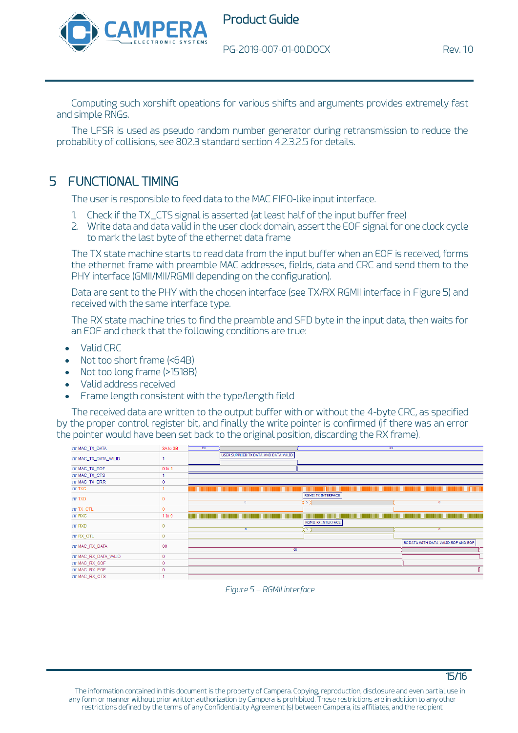



15/16

Computing such xorshift opeations for various shifts and arguments provides extremely fast and simple RNGs.

The LFSR is used as pseudo random number generator during retransmission to reduce the probability of collisions, see 802.3 standard section 4.2.3.2.5 for details.

## 5 FUNCTIONAL TIMING

The user is responsible to feed data to the MAC FIFO-like input interface.

- 1. Check if the TX\_CTS signal is asserted (at least half of the input buffer free)
- 2. Write data and data valid in the user clock domain, assert the EOF signal for one clock cycle to mark the last byte of the ethernet data frame

The TX state machine starts to read data from the input buffer when an EOF is received, forms the ethernet frame with preamble MAC addresses, fields, data and CRC and send them to the PHY interface (GMII/MII/RGMII depending on the configuration).

Data are sent to the PHY with the chosen interface (see TX/RX RGMII interface in [Figure 5\)](#page-14-0) and received with the same interface type.

The RX state machine tries to find the preamble and SFD byte in the input data, then waits for an EOF and check that the following conditions are true:

- Valid CRC
- Not too short frame (<64B)
- Not too long frame (>1518B)
- Valid address received
- Frame length consistent with the type/length field

The received data are written to the output buffer with or without the 4-byte CRC, as specified by the proper control register bit, and finally the write pointer is confirmed (if there was an error the pointer would have been set back to the original position, discarding the RX frame).

<span id="page-14-0"></span>

| JU MAC_TX_DATA       | 3A to 3B     | XX |                                                             | XX                        |                                                               |
|----------------------|--------------|----|-------------------------------------------------------------|---------------------------|---------------------------------------------------------------|
| JU MAC_TX_DATA_VALID |              |    | USER SUPPLIED TX DATA AND DATA VALID                        |                           |                                                               |
| JU MAC_TX_EOF        | 0 to 1       |    |                                                             |                           |                                                               |
| JU MAC_TX_CTS        |              |    |                                                             |                           |                                                               |
| JU MAC_TX_ERR        |              |    |                                                             |                           |                                                               |
| <b>JU TXC</b>        |              |    | <u> 1989 - Johann Stoff, Amerikaansk politiker (* 1958)</u> |                           | <u> 1989 - Andrea Stadt Britain, fransk politik (f. 1989)</u> |
| <b>JU TXD</b>        |              |    |                                                             | RGMII TX INTERFACE        |                                                               |
|                      |              |    | $\mathbf{0}$                                                | - 5 J                     | $\mathbf{0}$                                                  |
| JU TX_CTL            | $\Omega$     |    |                                                             |                           |                                                               |
| <b>JU RXC</b>        | 1 to 0       |    |                                                             |                           | <u> 1989 - Andrea Stadt Britain, fransk politik (f. 1989)</u> |
| <b>JU RXD</b>        |              |    |                                                             | <b>RGMII RX INTERFACE</b> |                                                               |
|                      |              |    | $\mathbf{0}$                                                | 心                         | $\Omega$                                                      |
| JU RX_CTL            | 0            |    |                                                             |                           |                                                               |
| JU MAC_RX_DATA       | 00           |    |                                                             |                           | RX DATA WITH DATA VALID SOF AND EOF                           |
|                      |              |    | 00                                                          |                           |                                                               |
| JU MAC_RX_DATA_VALID | $\mathbf 0$  |    |                                                             |                           |                                                               |
| JU MAC RX SOF        | $\mathbf{0}$ |    |                                                             |                           |                                                               |
|                      |              |    |                                                             |                           |                                                               |
| JU MAC_RX_EOF        | 0            |    |                                                             |                           |                                                               |

*Figure 5 – RGMII interface*